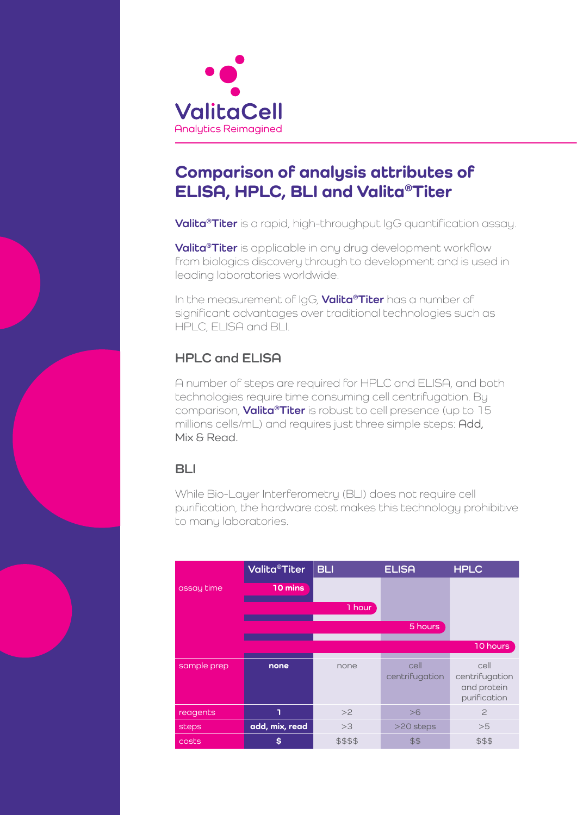

## **Comparison of analysis attributes of ELISA, HPLC, BLI and Valita®Titer**

**Valita®Titer** is a rapid, high-throughput IgG quantification assay.

**Valita®Titer** is applicable in any drug development workflow from biologics discovery through to development and is used in leading laboratories worldwide.

In the measurement of IgG, **Valita®Titer** has a number of significant advantages over traditional technologies such as HPLC, ELISA and BLI.

## **HPLC and ELISA**

A number of steps are required for HPLC and ELISA, and both technologies require time consuming cell centrifugation. By comparison, **Valita®Titer** is robust to cell presence (up to 15 millions cells/mL) and requires just three simple steps: Add, Mix & Read.

### **BLI**

While Bio-Layer Interferometry (BLI) does not require cell purification, the hardware cost makes this technology prohibitive to many laboratories.

|             | <b>Valita<sup>®</sup>Titer</b> | <b>BLI</b> | <b>ELISA</b>           | <b>HPLC</b>                                           |
|-------------|--------------------------------|------------|------------------------|-------------------------------------------------------|
| assay time  | 10 mins                        |            |                        |                                                       |
|             |                                | 1 hour     |                        |                                                       |
|             |                                |            | 5 hours                |                                                       |
|             |                                |            |                        | 10 hours                                              |
| sample prep | none                           | none       | cell<br>centrifugation | cell<br>centrifugation<br>and protein<br>purification |
| reagents    | ٦                              | >2         | >6                     | $\overline{c}$                                        |
| steps       | add, mix, read                 | >3         | >20 steps              | >5                                                    |
| costs       | S                              | \$\$\$\$   | \$\$                   | \$\$\$                                                |